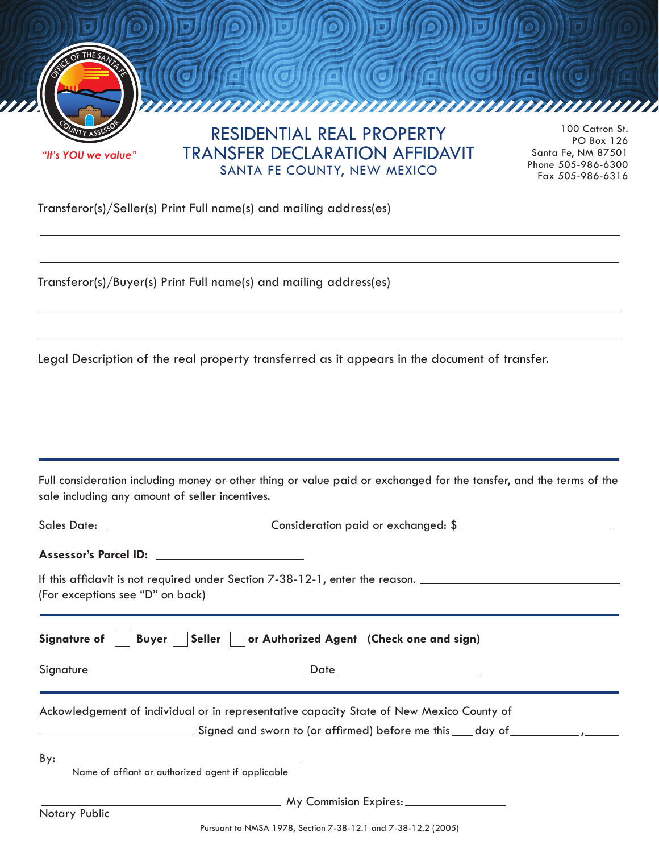

Transferor(s)/Seller(s) Print Full name(s) and mailing address(es)

**<sup>C</sup>OUNT<sup>Y</sup> <sup>A</sup>SSESSO<sup>R</sup>**

Transferor(s)/Buyer(s) Print Full name(s) and mailing address(es)

Legal Description of the real property transferred as it appears in the document of transfer.

Full consideration including money or other thing or value paid or exchanged for the tansfer, and the terms of the sale including any amount of seller incentives.

| If this affidavit is not required under Section 7-38-12-1, enter the reason.<br>(For exceptions see "D" on back) |                                                                                                                                                                                                                               |
|------------------------------------------------------------------------------------------------------------------|-------------------------------------------------------------------------------------------------------------------------------------------------------------------------------------------------------------------------------|
|                                                                                                                  | Signature of     Buyer     Seller     or Authorized Agent (Check one and sign)                                                                                                                                                |
|                                                                                                                  |                                                                                                                                                                                                                               |
|                                                                                                                  | Ackowledgement of individual or in representative capacity State of New Mexico County of                                                                                                                                      |
|                                                                                                                  | Signed and sworn to (or affirmed) before me this day of the state of the state of the state of the state of the state of the state of the state of the state of the state of the state of the state of the state of the state |
| By: $\qquad \qquad$<br>Name of affiant or authorized agent if applicable                                         |                                                                                                                                                                                                                               |
| Notary Public                                                                                                    |                                                                                                                                                                                                                               |